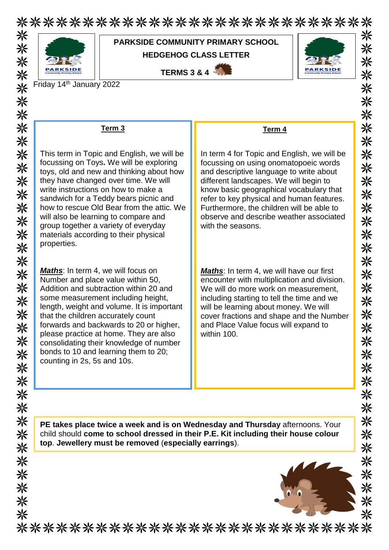\*\*\*\*\*\*\*\*\*\*\*\*\*\*\*\*\*\*\*\*\*\*\*\*\*\*\* 米米米米米



米米米米米米米米米米米米米米米米米米米米米米米米米米米米米米

## **PARKSIDE COMMUNITY PRIMARY SCHOOL HEDGEHOG CLASS LETTER**

**TERMS 3 & 4** 



Friday 14th January 2022

| Term <sub>3</sub>                                                                                                                                                                                                                                                                                                                                                                                                                                         | Term 4                                                                                                                                                                                                                                                                                                                                                                         |
|-----------------------------------------------------------------------------------------------------------------------------------------------------------------------------------------------------------------------------------------------------------------------------------------------------------------------------------------------------------------------------------------------------------------------------------------------------------|--------------------------------------------------------------------------------------------------------------------------------------------------------------------------------------------------------------------------------------------------------------------------------------------------------------------------------------------------------------------------------|
| This term in Topic and English, we will be<br>focussing on Toys. We will be exploring<br>toys, old and new and thinking about how<br>they have changed over time. We will<br>write instructions on how to make a<br>sandwich for a Teddy bears picnic and<br>how to rescue Old Bear from the attic. We<br>will also be learning to compare and<br>group together a variety of everyday<br>materials according to their physical<br>properties.            | In term 4 for Topic and English, we will be<br>focussing on using onomatopoeic words<br>and descriptive language to write about<br>different landscapes. We will begin to<br>know basic geographical vocabulary that<br>refer to key physical and human features.<br>Furthermore, the children will be able to<br>observe and describe weather associated<br>with the seasons. |
| <b>Maths:</b> In term 4, we will focus on<br>Number and place value within 50,<br>Addition and subtraction within 20 and<br>some measurement including height,<br>length, weight and volume. It is important<br>that the children accurately count<br>forwards and backwards to 20 or higher,<br>please practice at home. They are also<br>consolidating their knowledge of number<br>bonds to 10 and learning them to 20;<br>counting in 2s, 5s and 10s. | <b>Maths:</b> In term 4, we will have our first<br>encounter with multiplication and division.<br>We will do more work on measurement,<br>including starting to tell the time and we<br>will be learning about money. We will<br>cover fractions and shape and the Number<br>and Place Value focus will expand to<br>within 100.                                               |
|                                                                                                                                                                                                                                                                                                                                                                                                                                                           | PE takes place twice a week and is on Wednesday and Thursday afternoons. Your                                                                                                                                                                                                                                                                                                  |
| child should come to school dressed in their P.E. Kit including their house colour<br>top. Jewellery must be removed (especially earrings).                                                                                                                                                                                                                                                                                                               |                                                                                                                                                                                                                                                                                                                                                                                |
|                                                                                                                                                                                                                                                                                                                                                                                                                                                           |                                                                                                                                                                                                                                                                                                                                                                                |
|                                                                                                                                                                                                                                                                                                                                                                                                                                                           |                                                                                                                                                                                                                                                                                                                                                                                |